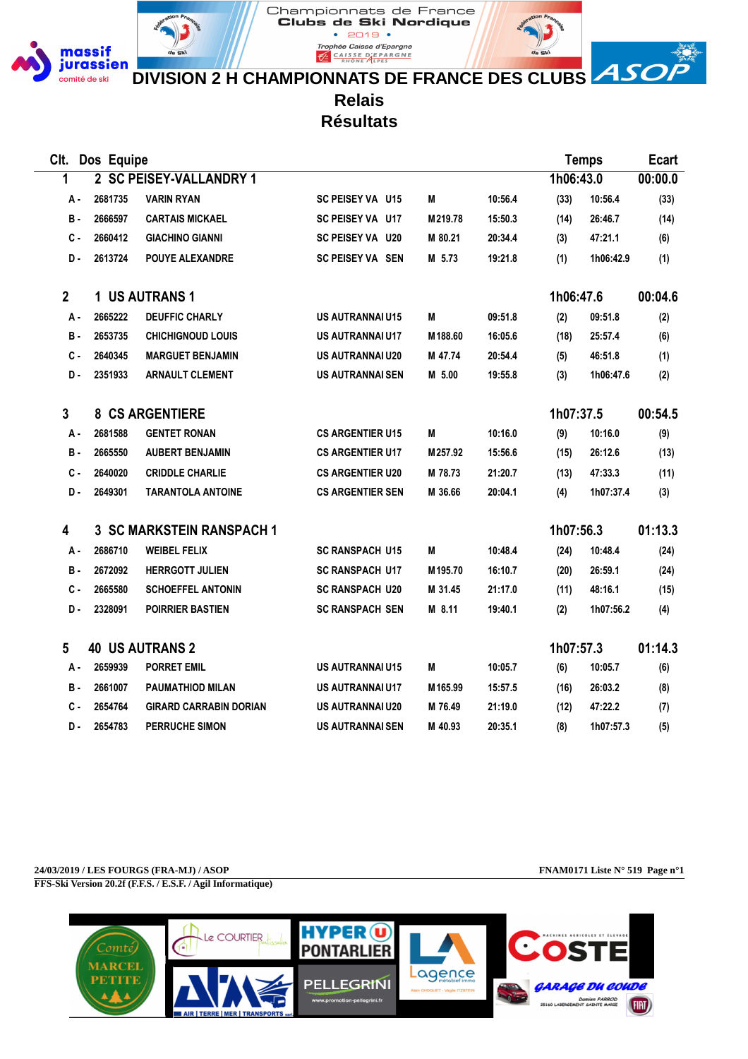

**DIVISION 2 H CHAMPIONNATS DE FRANCE DES CLUBS ASO** 

**Relais**

**EXPARGALIST CALSE DEPARGNE** 

Championnats de France Clubs de Ski Nordique  $• 2019 •$ Trophée Caisse d'Epargne

**Résultats**

| Clt.         | Dos Equipe |                                  |                         |         |         |           | <b>Temps</b> |         |
|--------------|------------|----------------------------------|-------------------------|---------|---------|-----------|--------------|---------|
| 1            |            | 2 SC PEISEY-VALLANDRY 1          |                         |         |         | 1h06:43.0 |              | 00:00.0 |
| А.           | 2681735    | <b>VARIN RYAN</b>                | SC PEISEY VA U15        | M       | 10:56.4 | (33)      | 10:56.4      | (33)    |
| в.           | 2666597    | <b>CARTAIS MICKAEL</b>           | SC PEISEY VA U17        | M219.78 | 15:50.3 | (14)      | 26:46.7      | (14)    |
| с.           | 2660412    | <b>GIACHINO GIANNI</b>           | SC PEISEY VA U20        | M 80.21 | 20:34.4 | (3)       | 47:21.1      | (6)     |
| D-           | 2613724    | <b>POUYE ALEXANDRE</b>           | <b>SC PEISEY VA SEN</b> | M 5.73  | 19:21.8 | (1)       | 1h06:42.9    | (1)     |
| $\mathbf{2}$ |            | 1 US AUTRANS 1                   |                         |         |         | 1h06:47.6 |              | 00:04.6 |
| А.           | 2665222    | <b>DEUFFIC CHARLY</b>            | <b>US AUTRANNAI U15</b> | M       | 09:51.8 | (2)       | 09:51.8      | (2)     |
| В.           | 2653735    | <b>CHICHIGNOUD LOUIS</b>         | <b>US AUTRANNAI U17</b> | M188.60 | 16:05.6 | (18)      | 25:57.4      | (6)     |
| с.           | 2640345    | <b>MARGUET BENJAMIN</b>          | US AUTRANNAI U20        | M 47.74 | 20:54.4 | (5)       | 46:51.8      | (1)     |
| D-           | 2351933    | <b>ARNAULT CLEMENT</b>           | <b>US AUTRANNAI SEN</b> | M 5.00  | 19:55.8 | (3)       | 1h06:47.6    | (2)     |
| 3            |            | <b>8 CS ARGENTIERE</b>           |                         |         |         | 1h07:37.5 |              | 00:54.5 |
| А -          | 2681588    | <b>GENTET RONAN</b>              | <b>CS ARGENTIER U15</b> | М       | 10:16.0 | (9)       | 10:16.0      | (9)     |
| <b>B</b> -   | 2665550    | <b>AUBERT BENJAMIN</b>           | <b>CS ARGENTIER U17</b> | M257.92 | 15:56.6 | (15)      | 26:12.6      | (13)    |
| $c -$        | 2640020    | <b>CRIDDLE CHARLIE</b>           | <b>CS ARGENTIER U20</b> | M 78.73 | 21:20.7 | (13)      | 47:33.3      | (11)    |
| D.           | 2649301    | <b>TARANTOLA ANTOINE</b>         | <b>CS ARGENTIER SEN</b> | M 36.66 | 20:04.1 | (4)       | 1h07:37.4    | (3)     |
| 4            |            | <b>3 SC MARKSTEIN RANSPACH 1</b> |                         |         |         | 1h07:56.3 |              | 01:13.3 |
| А.           | 2686710    | <b>WEIBEL FELIX</b>              | <b>SC RANSPACH U15</b>  | M       | 10:48.4 | (24)      | 10:48.4      | (24)    |
| в.           | 2672092    | <b>HERRGOTT JULIEN</b>           | <b>SC RANSPACH U17</b>  | M195.70 | 16:10.7 | (20)      | 26:59.1      | (24)    |
| $c -$        | 2665580    | <b>SCHOEFFEL ANTONIN</b>         | <b>SC RANSPACH U20</b>  | M 31.45 | 21:17.0 | (11)      | 48:16.1      | (15)    |
| D.           | 2328091    | <b>POIRRIER BASTIEN</b>          | <b>SC RANSPACH SEN</b>  | M 8.11  | 19:40.1 | (2)       | 1h07:56.2    | (4)     |
| 5            |            | <b>40 US AUTRANS 2</b>           |                         |         |         | 1h07:57.3 |              | 01:14.3 |
| А -          | 2659939    | <b>PORRET EMIL</b>               | <b>US AUTRANNAI U15</b> | M       | 10:05.7 | (6)       | 10:05.7      | (6)     |
| в.           | 2661007    | <b>PAUMATHIOD MILAN</b>          | <b>US AUTRANNAI U17</b> | M165.99 | 15:57.5 | (16)      | 26:03.2      | (8)     |
| с.           | 2654764    | <b>GIRARD CARRABIN DORIAN</b>    | <b>US AUTRANNAI U20</b> | M 76.49 | 21:19.0 | (12)      | 47:22.2      | (7)     |
| D-           | 2654783    | <b>PERRUCHE SIMON</b>            | <b>US AUTRANNAI SEN</b> | M 40.93 | 20:35.1 | (8)       | 1h07:57.3    | (5)     |

**24/03/2019 / LES FOURGS (FRA-MJ) / ASOP FNAM0171 Liste N° 519 Page n°1 FFS-Ski Version 20.2f (F.F.S. / E.S.F. / Agil Informatique)**

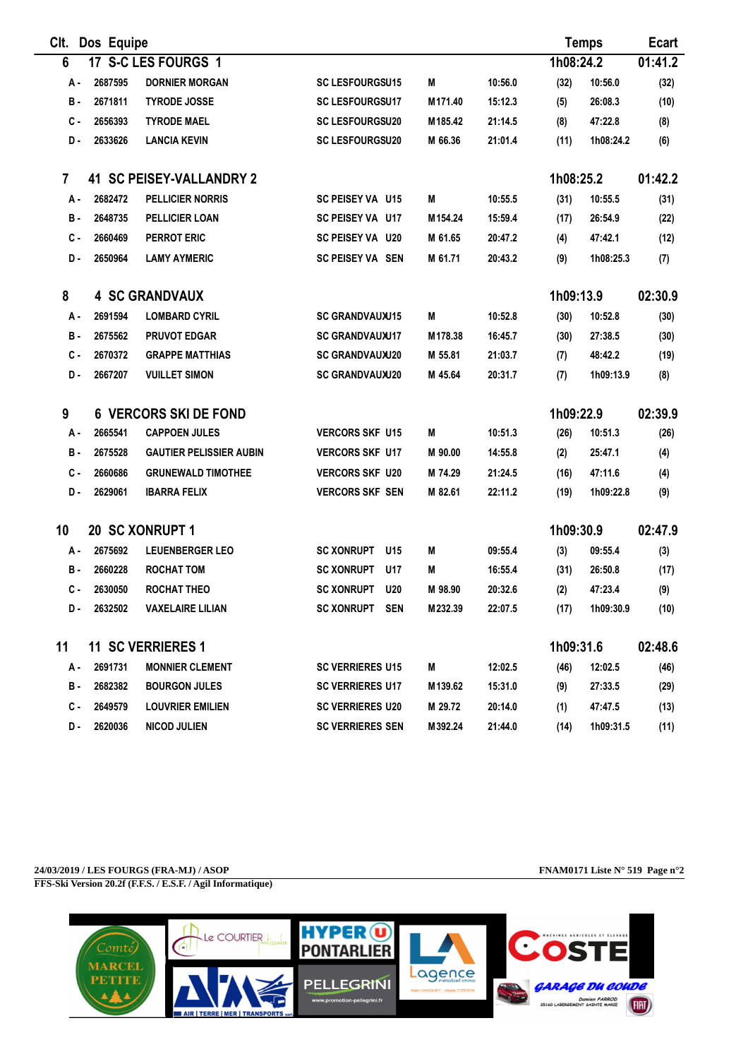| Clt.           | Dos Equipe |                                 |                                 |                     |         |           | <b>Temps</b> |         |
|----------------|------------|---------------------------------|---------------------------------|---------------------|---------|-----------|--------------|---------|
| 6              |            | 17 S-C LES FOURGS 1             |                                 |                     |         | 1h08:24.2 |              | 01:41.2 |
| А -            | 2687595    | <b>DORNIER MORGAN</b>           | <b>SC LESFOURGSU15</b>          | M                   | 10:56.0 | (32)      | 10:56.0      | (32)    |
| в.             | 2671811    | <b>TYRODE JOSSE</b>             | <b>SC LESFOURGSU17</b>          | M <sub>171.40</sub> | 15:12.3 | (5)       | 26:08.3      | (10)    |
| с.             | 2656393    | <b>TYRODE MAEL</b>              | <b>SC LESFOURGSU20</b>          | M185.42             | 21:14.5 | (8)       | 47:22.8      | (8)     |
| D-             | 2633626    | <b>LANCIA KEVIN</b>             | <b>SC LESFOURGSU20</b>          | M 66.36             | 21:01.4 | (11)      | 1h08:24.2    | (6)     |
| $\overline{7}$ |            | <b>41 SC PEISEY-VALLANDRY 2</b> |                                 |                     |         | 1h08:25.2 |              | 01:42.2 |
| А.             | 2682472    | <b>PELLICIER NORRIS</b>         | SC PEISEY VA U15                | M                   | 10:55.5 | (31)      | 10:55.5      | (31)    |
| в.             | 2648735    | <b>PELLICIER LOAN</b>           | SC PEISEY VA U17                | M154.24             | 15:59.4 | (17)      | 26:54.9      | (22)    |
| C -            | 2660469    | <b>PERROT ERIC</b>              | <b>SC PEISEY VA U20</b>         | M 61.65             | 20:47.2 | (4)       | 47:42.1      | (12)    |
| D-             | 2650964    | <b>LAMY AYMERIC</b>             | SC PEISEY VA SEN                | M 61.71             | 20:43.2 | (9)       | 1h08:25.3    | (7)     |
| 8              |            | <b>4 SC GRANDVAUX</b>           |                                 |                     |         | 1h09:13.9 |              | 02:30.9 |
| А.             | 2691594    | <b>LOMBARD CYRIL</b>            | <b>SC GRANDVAUXU15</b>          | M                   | 10:52.8 | (30)      | 10:52.8      | (30)    |
| в.             | 2675562    | <b>PRUVOT EDGAR</b>             | <b>SC GRANDVAUXU17</b>          | M178.38             | 16:45.7 | (30)      | 27:38.5      | (30)    |
| c -            | 2670372    | <b>GRAPPE MATTHIAS</b>          | <b>SC GRANDVAUXU20</b>          | M 55.81             | 21:03.7 | (7)       | 48:42.2      | (19)    |
| D-             | 2667207    | <b>VUILLET SIMON</b>            | <b>SC GRANDVAUXU20</b>          | M 45.64             | 20:31.7 | (7)       | 1h09:13.9    | (8)     |
| 9              |            | <b>6 VERCORS SKI DE FOND</b>    |                                 |                     |         | 1h09:22.9 |              | 02:39.9 |
| А.             | 2665541    | <b>CAPPOEN JULES</b>            | <b>VERCORS SKF U15</b>          | M                   | 10:51.3 | (26)      | 10:51.3      | (26)    |
| в.             | 2675528    | <b>GAUTIER PELISSIER AUBIN</b>  | <b>VERCORS SKF U17</b>          | M 90.00             | 14:55.8 | (2)       | 25:47.1      | (4)     |
| с.             | 2660686    | <b>GRUNEWALD TIMOTHEE</b>       | <b>VERCORS SKF U20</b>          | M 74.29             | 21:24.5 | (16)      | 47:11.6      | (4)     |
| D-             | 2629061    | <b>IBARRA FELIX</b>             | <b>VERCORS SKF SEN</b>          | M 82.61             | 22:11.2 | (19)      | 1h09:22.8    | (9)     |
| 10             |            | 20 SC XONRUPT 1                 |                                 |                     |         | 1h09:30.9 |              | 02:47.9 |
| А.             | 2675692    | <b>LEUENBERGER LEO</b>          | <b>SC XONRUPT</b><br>U15        | М                   | 09:55.4 | (3)       | 09:55.4      | (3)     |
| в.             | 2660228    | <b>ROCHAT TOM</b>               | <b>SC XONRUPT</b><br>U17        | М                   | 16:55.4 | (31)      | 26:50.8      | (17)    |
| C -            | 2630050    | <b>ROCHAT THEO</b>              | <b>SC XONRUPT</b><br><b>U20</b> | M 98.90             | 20:32.6 | (2)       | 47:23.4      | (9)     |
| D-             | 2632502    | <b>VAXELAIRE LILIAN</b>         | SC XONRUPT SEN                  | M232.39             | 22:07.5 | (17)      | 1h09:30.9    | (10)    |
| 11             |            | <b>11 SC VERRIERES 1</b>        |                                 |                     |         | 1h09:31.6 |              | 02:48.6 |
| А.             | 2691731    | <b>MONNIER CLEMENT</b>          | <b>SC VERRIERES U15</b>         | M                   | 12:02.5 | (46)      | 12:02.5      | (46)    |
| в.             | 2682382    | <b>BOURGON JULES</b>            | <b>SC VERRIERES U17</b>         | M139.62             | 15:31.0 | (9)       | 27:33.5      | (29)    |
| c.             | 2649579    | <b>LOUVRIER EMILIEN</b>         | <b>SC VERRIERES U20</b>         | M 29.72             | 20:14.0 | (1)       | 47:47.5      | (13)    |
| D-             | 2620036    | <b>NICOD JULIEN</b>             | <b>SC VERRIERES SEN</b>         | M392.24             | 21:44.0 | (14)      | 1h09:31.5    | (11)    |

**24/03/2019 / LES FOURGS (FRA-MJ) / ASOP FNAM0171 Liste N° 519 Page n°2 FFS-Ski Version 20.2f (F.F.S. / E.S.F. / Agil Informatique)**

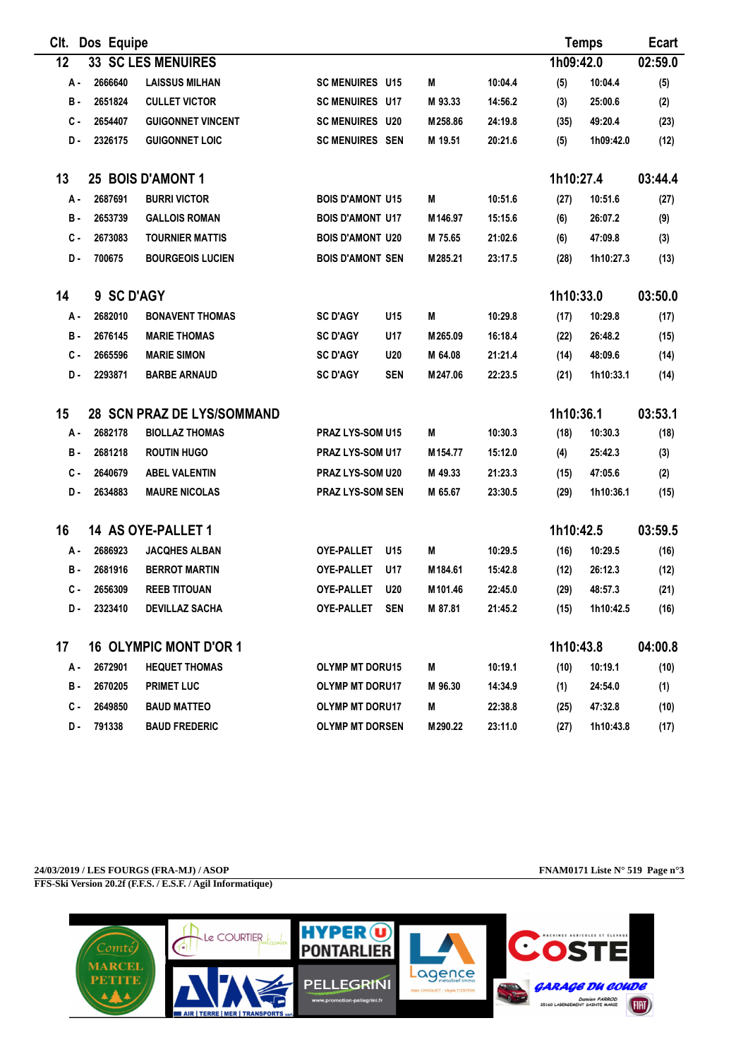| CIt. | Dos Equipe |                               |                         |            |         |         |           | <b>Temps</b> | <b>Ecart</b> |
|------|------------|-------------------------------|-------------------------|------------|---------|---------|-----------|--------------|--------------|
| 12   |            | <b>33 SC LES MENUIRES</b>     |                         |            |         |         | 1h09:42.0 |              | 02:59.0      |
| А -  | 2666640    | <b>LAISSUS MILHAN</b>         | <b>SC MENUIRES U15</b>  |            | M       | 10:04.4 | (5)       | 10:04.4      | (5)          |
| в.   | 2651824    | <b>CULLET VICTOR</b>          | <b>SC MENUIRES U17</b>  |            | M 93.33 | 14:56.2 | (3)       | 25:00.6      | (2)          |
| с.   | 2654407    | <b>GUIGONNET VINCENT</b>      | <b>SC MENUIRES U20</b>  |            | M258.86 | 24:19.8 | (35)      | 49:20.4      | (23)         |
| D.   | 2326175    | <b>GUIGONNET LOIC</b>         | <b>SC MENUIRES SEN</b>  |            | M 19.51 | 20:21.6 | (5)       | 1h09:42.0    | (12)         |
| 13   |            | 25 BOIS D'AMONT 1             |                         |            |         |         | 1h10:27.4 |              | 03:44.4      |
| А.   | 2687691    | <b>BURRI VICTOR</b>           | <b>BOIS D'AMONT U15</b> |            | М       | 10:51.6 | (27)      | 10:51.6      | (27)         |
| в.   | 2653739    | <b>GALLOIS ROMAN</b>          | <b>BOIS D'AMONT U17</b> |            | M146.97 | 15:15.6 | (6)       | 26:07.2      | (9)          |
| с.   | 2673083    | <b>TOURNIER MATTIS</b>        | <b>BOIS D'AMONT U20</b> |            | M 75.65 | 21:02.6 | (6)       | 47:09.8      | (3)          |
| D.   | 700675     | <b>BOURGEOIS LUCIEN</b>       | <b>BOIS D'AMONT SEN</b> |            | M285.21 | 23:17.5 | (28)      | 1h10:27.3    | (13)         |
| 14   | 9 SC D'AGY |                               |                         |            |         |         | 1h10:33.0 |              | 03:50.0      |
| А.   | 2682010    | <b>BONAVENT THOMAS</b>        | <b>SC D'AGY</b>         | U15        | М       | 10:29.8 | (17)      | 10:29.8      | (17)         |
| в.   | 2676145    | <b>MARIE THOMAS</b>           | <b>SC D'AGY</b>         | U17        | M265.09 | 16:18.4 | (22)      | 26:48.2      | (15)         |
| с.   | 2665596    | <b>MARIE SIMON</b>            | <b>SC D'AGY</b>         | <b>U20</b> | M 64.08 | 21:21.4 | (14)      | 48:09.6      | (14)         |
| D.   | 2293871    | <b>BARBE ARNAUD</b>           | <b>SC D'AGY</b>         | <b>SEN</b> | M247.06 | 22:23.5 | (21)      | 1h10:33.1    | (14)         |
| 15   |            | 28 SCN PRAZ DE LYS/SOMMAND    |                         |            |         |         | 1h10:36.1 |              | 03:53.1      |
| А.   | 2682178    | <b>BIOLLAZ THOMAS</b>         | PRAZ LYS-SOM U15        |            | М       | 10:30.3 | (18)      | 10:30.3      | (18)         |
| в.   | 2681218    | <b>ROUTIN HUGO</b>            | PRAZ LYS-SOM U17        |            | M154.77 | 15:12.0 | (4)       | 25:42.3      | (3)          |
| с.   | 2640679    | <b>ABEL VALENTIN</b>          | PRAZ LYS-SOM U20        |            | M 49.33 | 21:23.3 | (15)      | 47:05.6      | (2)          |
| D-   | 2634883    | <b>MAURE NICOLAS</b>          | <b>PRAZ LYS-SOM SEN</b> |            | M 65.67 | 23:30.5 | (29)      | 1h10:36.1    | (15)         |
| 16   |            | 14 AS OYE-PALLET 1            |                         |            |         |         | 1h10:42.5 |              | 03:59.5      |
| А.   | 2686923    | <b>JACQHES ALBAN</b>          | <b>OYE-PALLET</b>       | U15        | M       | 10:29.5 | (16)      | 10:29.5      | (16)         |
| в.   | 2681916    | <b>BERROT MARTIN</b>          | <b>OYE-PALLET</b>       | U17        | M184.61 | 15:42.8 | (12)      | 26:12.3      | (12)         |
| C -  | 2656309    | <b>REEB TITOUAN</b>           | <b>OYE-PALLET</b>       | <b>U20</b> | M101.46 | 22:45.0 | (29)      | 48:57.3      | (21)         |
| D.   | 2323410    | <b>DEVILLAZ SACHA</b>         | OYE-PALLET              | <b>SEN</b> | M 87.81 | 21:45.2 | (15)      | 1h10:42.5    | (16)         |
| 17   |            | <b>16 OLYMPIC MONT D'OR 1</b> |                         |            |         |         | 1h10:43.8 |              | 04:00.8      |
| А.   | 2672901    | <b>HEQUET THOMAS</b>          | <b>OLYMP MT DORU15</b>  |            | M       | 10:19.1 | (10)      | 10:19.1      | (10)         |
| в.   | 2670205    | <b>PRIMET LUC</b>             | <b>OLYMP MT DORU17</b>  |            | M 96.30 | 14:34.9 | (1)       | 24:54.0      | (1)          |
| с.   | 2649850    | <b>BAUD MATTEO</b>            | <b>OLYMP MT DORU17</b>  |            | M       | 22:38.8 | (25)      | 47:32.8      | (10)         |
| D.   | 791338     | <b>BAUD FREDERIC</b>          | <b>OLYMP MT DORSEN</b>  |            | M290.22 | 23:11.0 | (27)      | 1h10:43.8    | (17)         |

**24/03/2019 / LES FOURGS (FRA-MJ) / ASOP FNAM0171 Liste N° 519 Page n°3 FFS-Ski Version 20.2f (F.F.S. / E.S.F. / Agil Informatique)**

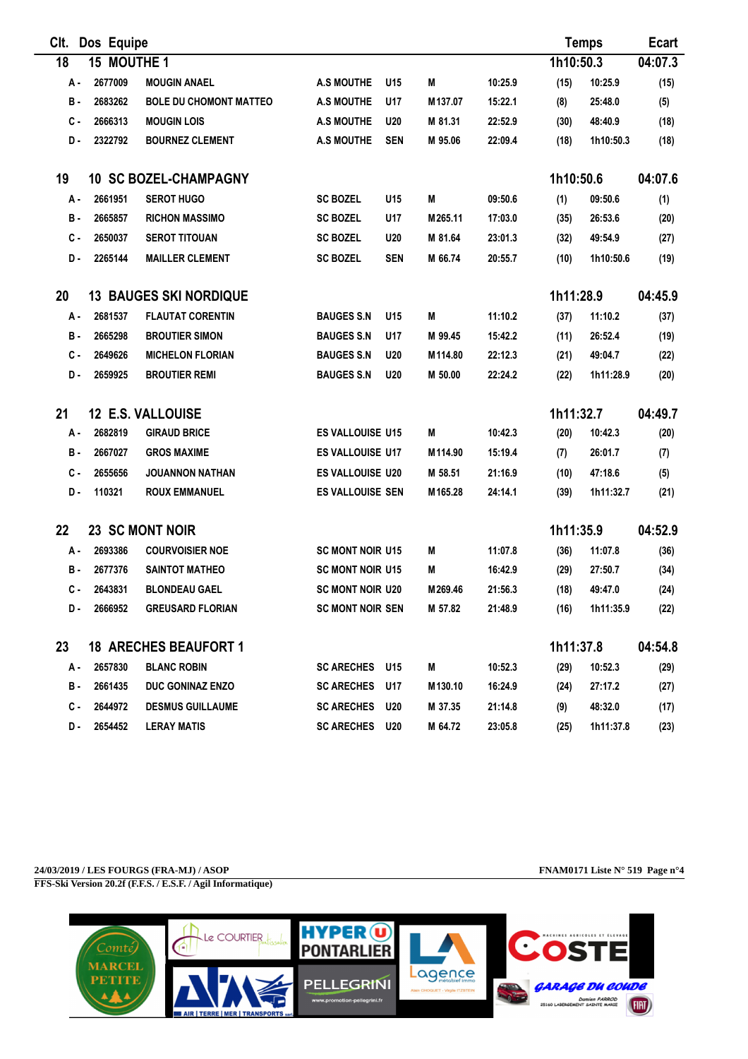| CIt.                                             |            | Dos Equipe  |                               |                         |            |         |         |           | <b>Temps</b> | <b>Ecart</b> |
|--------------------------------------------------|------------|-------------|-------------------------------|-------------------------|------------|---------|---------|-----------|--------------|--------------|
| 18                                               |            | 15 MOUTHE 1 |                               |                         |            |         |         | 1h10:50.3 |              | 04:07.3      |
|                                                  | А.         | 2677009     | <b>MOUGIN ANAEL</b>           | <b>A.S MOUTHE</b>       | U15        | M       | 10:25.9 | (15)      | 10:25.9      | (15)         |
|                                                  | <b>B</b> - | 2683262     | <b>BOLE DU CHOMONT MATTEO</b> | <b>A.S MOUTHE</b>       | U17        | M137.07 | 15:22.1 | (8)       | 25:48.0      | (5)          |
|                                                  | с.         | 2666313     | <b>MOUGIN LOIS</b>            | <b>A.S MOUTHE</b>       | <b>U20</b> | M 81.31 | 22:52.9 | (30)      | 48:40.9      | (18)         |
|                                                  | D.         | 2322792     | <b>BOURNEZ CLEMENT</b>        | <b>A.S MOUTHE</b>       | <b>SEN</b> | M 95.06 | 22:09.4 | (18)      | 1h10:50.3    | (18)         |
| 19                                               |            |             | <b>10 SC BOZEL-CHAMPAGNY</b>  |                         |            |         |         | 1h10:50.6 |              | 04:07.6      |
|                                                  | А -        | 2661951     | <b>SEROT HUGO</b>             | <b>SC BOZEL</b>         | U15        | M       | 09:50.6 | (1)       | 09:50.6      | (1)          |
|                                                  | в.         | 2665857     | <b>RICHON MASSIMO</b>         | <b>SC BOZEL</b>         | U17        | M265.11 | 17:03.0 | (35)      | 26:53.6      | (20)         |
|                                                  | с.         | 2650037     | <b>SEROT TITOUAN</b>          | <b>SC BOZEL</b>         | <b>U20</b> | M 81.64 | 23:01.3 | (32)      | 49:54.9      | (27)         |
|                                                  | D.         | 2265144     | <b>MAILLER CLEMENT</b>        | <b>SC BOZEL</b>         | <b>SEN</b> | M 66.74 | 20:55.7 | (10)      | 1h10:50.6    | (19)         |
| 1h11:28.9<br><b>13 BAUGES SKI NORDIQUE</b><br>20 |            |             |                               |                         |            | 04:45.9 |         |           |              |              |
|                                                  | А-         | 2681537     | <b>FLAUTAT CORENTIN</b>       | <b>BAUGES S.N</b>       | U15        | M       | 11:10.2 | (37)      | 11:10.2      | (37)         |
|                                                  | в.         | 2665298     | <b>BROUTIER SIMON</b>         | <b>BAUGES S.N</b>       | U17        | M 99.45 | 15:42.2 | (11)      | 26:52.4      | (19)         |
|                                                  | с.         | 2649626     | <b>MICHELON FLORIAN</b>       | <b>BAUGES S.N</b>       | <b>U20</b> | M114.80 | 22:12.3 | (21)      | 49:04.7      | (22)         |
|                                                  | D.         | 2659925     | <b>BROUTIER REMI</b>          | <b>BAUGES S.N</b>       | <b>U20</b> | M 50.00 | 22:24.2 | (22)      | 1h11:28.9    | (20)         |
| 21                                               |            |             | 12 E.S. VALLOUISE             |                         |            |         |         | 1h11:32.7 |              | 04:49.7      |
|                                                  | А.         | 2682819     | <b>GIRAUD BRICE</b>           | <b>ES VALLOUISE U15</b> |            | M       | 10:42.3 | (20)      | 10:42.3      | (20)         |
|                                                  | в.         | 2667027     | <b>GROS MAXIME</b>            | ES VALLOUISE U17        |            | M114.90 | 15:19.4 | (7)       | 26:01.7      | (7)          |
|                                                  | с.         | 2655656     | <b>JOUANNON NATHAN</b>        | ES VALLOUISE U20        |            | M 58.51 | 21:16.9 | (10)      | 47:18.6      | (5)          |
|                                                  | D.         | 110321      | <b>ROUX EMMANUEL</b>          | <b>ES VALLOUISE SEN</b> |            | M165.28 | 24:14.1 | (39)      | 1h11:32.7    | (21)         |
| 22                                               |            |             | 23 SC MONT NOIR               |                         |            |         |         | 1h11:35.9 |              | 04:52.9      |
|                                                  | А.         | 2693386     | <b>COURVOISIER NOE</b>        | <b>SC MONT NOIR U15</b> |            | M       | 11:07.8 | (36)      | 11:07.8      | (36)         |
|                                                  | в.         | 2677376     | <b>SAINTOT MATHEO</b>         | <b>SC MONT NOIR U15</b> |            | M       | 16:42.9 | (29)      | 27:50.7      | (34)         |
|                                                  | $c -$      | 2643831     | <b>BLONDEAU GAEL</b>          | <b>SC MONT NOIR U20</b> |            | M269.46 | 21:56.3 | (18)      | 49:47.0      | (24)         |
|                                                  | D-         | 2666952     | <b>GREUSARD FLORIAN</b>       | <b>SC MONT NOIR SEN</b> |            | M 57.82 | 21:48.9 | (16)      | 1h11:35.9    | (22)         |
| 23                                               |            |             | <b>18 ARECHES BEAUFORT 1</b>  |                         |            |         |         | 1h11:37.8 |              | 04:54.8      |
|                                                  | А.         | 2657830     | <b>BLANC ROBIN</b>            | SC ARECHES U15          |            | Μ       | 10:52.3 | (29)      | 10:52.3      | (29)         |
|                                                  | в.         | 2661435     | DUC GONINAZ ENZO              | <b>SC ARECHES</b>       | U17        | M130.10 | 16:24.9 | (24)      | 27:17.2      | (27)         |
|                                                  | с.         | 2644972     | <b>DESMUS GUILLAUME</b>       | <b>SC ARECHES</b>       | U20        | M 37.35 | 21:14.8 | (9)       | 48:32.0      | (17)         |
|                                                  | D-         | 2654452     | <b>LERAY MATIS</b>            | SC ARECHES U20          |            | M 64.72 | 23:05.8 | (25)      | 1h11:37.8    | (23)         |

**24/03/2019 / LES FOURGS (FRA-MJ) / ASOP FNAM0171 Liste N° 519 Page n°4 FFS-Ski Version 20.2f (F.F.S. / E.S.F. / Agil Informatique)**

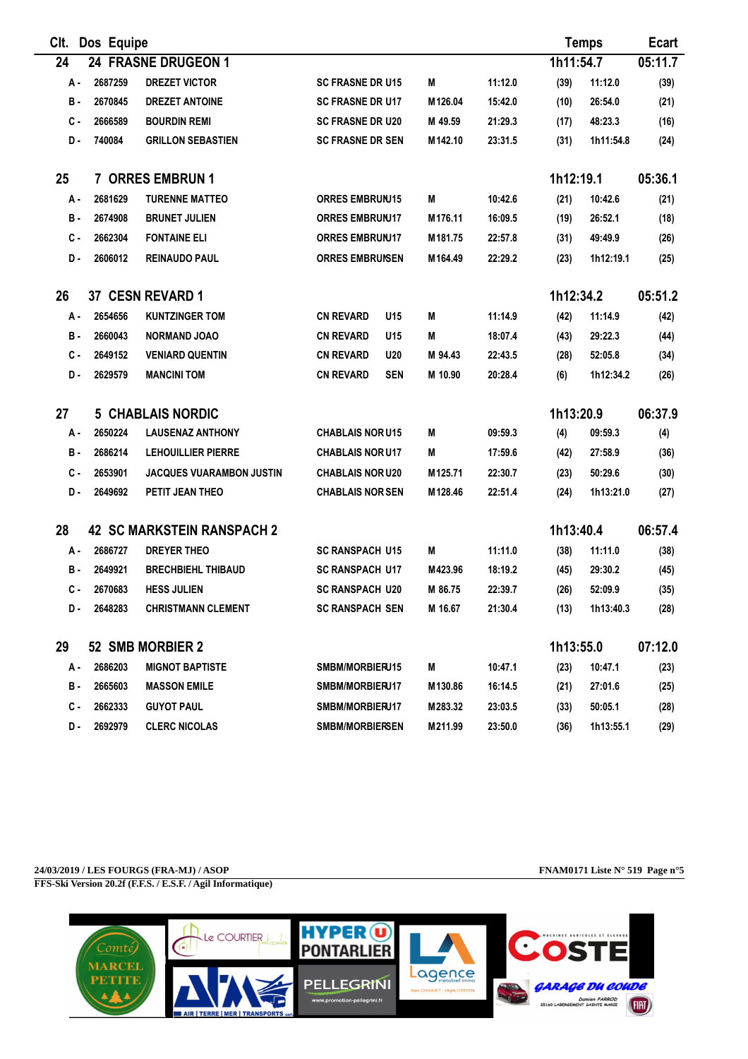| CIt. | Dos Equipe |                                   |                                |                     |         |           | <b>Temps</b> | <b>Ecart</b> |
|------|------------|-----------------------------------|--------------------------------|---------------------|---------|-----------|--------------|--------------|
| 24   |            | 24 FRASNE DRUGEON 1               |                                |                     |         | 1h11:54.7 |              | 05:11.7      |
| А.   | 2687259    | <b>DREZET VICTOR</b>              | <b>SC FRASNE DR U15</b>        | М                   | 11:12.0 | (39)      | 11:12.0      | (39)         |
| в.   | 2670845    | <b>DREZET ANTOINE</b>             | <b>SC FRASNE DR U17</b>        | M126.04             | 15:42.0 | (10)      | 26:54.0      | (21)         |
| с.   | 2666589    | <b>BOURDIN REMI</b>               | <b>SC FRASNE DR U20</b>        | M 49.59             | 21:29.3 | (17)      | 48:23.3      | (16)         |
| D.   | 740084     | <b>GRILLON SEBASTIEN</b>          | <b>SC FRASNE DR SEN</b>        | M142.10             | 23:31.5 | (31)      | 1h11:54.8    | (24)         |
| 25   |            | <b>7 ORRES EMBRUN 1</b>           |                                |                     |         | 1h12:19.1 |              | 05:36.1      |
| А.   | 2681629    | <b>TURENNE MATTEO</b>             | <b>ORRES EMBRUNJ15</b>         | M                   | 10:42.6 | (21)      | 10:42.6      | (21)         |
| в.   | 2674908    | <b>BRUNET JULIEN</b>              | <b>ORRES EMBRUNJ17</b>         | M176.11             | 16:09.5 | (19)      | 26:52.1      | (18)         |
| с.   | 2662304    | <b>FONTAINE ELI</b>               | <b>ORRES EMBRUNJ17</b>         | M <sub>181.75</sub> | 22:57.8 | (31)      | 49:49.9      | (26)         |
| D.   | 2606012    | <b>REINAUDO PAUL</b>              | <b>ORRES EMBRUISEN</b>         | M164.49             | 22:29.2 | (23)      | 1h12:19.1    | (25)         |
| 26   |            | 37 CESN REVARD 1                  |                                |                     |         | 1h12:34.2 |              | 05:51.2      |
| А.   | 2654656    | <b>KUNTZINGER TOM</b>             | <b>CN REVARD</b><br>U15        | М                   | 11:14.9 | (42)      | 11:14.9      | (42)         |
| в.   | 2660043    | <b>NORMAND JOAO</b>               | <b>CN REVARD</b><br>U15        | М                   | 18:07.4 | (43)      | 29:22.3      | (44)         |
| с.   | 2649152    | <b>VENIARD QUENTIN</b>            | <b>CN REVARD</b><br><b>U20</b> | M 94.43             | 22:43.5 | (28)      | 52:05.8      | (34)         |
| D.   | 2629579    | <b>MANCINI TOM</b>                | <b>CN REVARD</b><br><b>SEN</b> | M 10.90             | 20:28.4 | (6)       | 1h12:34.2    | (26)         |
| 27   |            | <b>5 CHABLAIS NORDIC</b>          |                                |                     |         | 1h13:20.9 |              | 06:37.9      |
| А.   | 2650224    | <b>LAUSENAZ ANTHONY</b>           | <b>CHABLAIS NOR U15</b>        | М                   | 09:59.3 | (4)       | 09:59.3      | (4)          |
| в.   | 2686214    | <b>LEHOUILLIER PIERRE</b>         | <b>CHABLAIS NOR U17</b>        | М                   | 17:59.6 | (42)      | 27:58.9      | (36)         |
| с.   | 2653901    | <b>JACQUES VUARAMBON JUSTIN</b>   | <b>CHABLAIS NOR U20</b>        | M125.71             | 22:30.7 | (23)      | 50:29.6      | (30)         |
| D.   | 2649692    | PETIT JEAN THEO                   | <b>CHABLAIS NOR SEN</b>        | M128.46             | 22:51.4 | (24)      | 1h13:21.0    | (27)         |
| 28   |            | <b>42 SC MARKSTEIN RANSPACH 2</b> |                                |                     |         | 1h13:40.4 |              | 06:57.4      |
| А.   | 2686727    | <b>DREYER THEO</b>                | <b>SC RANSPACH U15</b>         | M                   | 11:11.0 | (38)      | 11:11.0      | (38)         |
| в.   | 2649921    | <b>BRECHBIEHL THIBAUD</b>         | <b>SC RANSPACH U17</b>         | M423.96             | 18:19.2 | (45)      | 29:30.2      | (45)         |
| C -  | 2670683    | <b>HESS JULIEN</b>                | <b>SC RANSPACH U20</b>         | M 86.75             | 22:39.7 | (26)      | 52:09.9      | (35)         |
| D.   | 2648283    | <b>CHRISTMANN CLEMENT</b>         | <b>SC RANSPACH SEN</b>         | M 16.67             | 21:30.4 | (13)      | 1h13:40.3    | (28)         |
| 29   |            | 52 SMB MORBIER 2                  |                                |                     |         | 1h13:55.0 |              | 07:12.0      |
| А.   | 2686203    | <b>MIGNOT BAPTISTE</b>            | SMBM/MORBIERU15                | M                   | 10:47.1 | (23)      | 10:47.1      | (23)         |
| в.   | 2665603    | <b>MASSON EMILE</b>               | SMBM/MORBIERU17                | M130.86             | 16:14.5 | (21)      | 27:01.6      | (25)         |
| с.   | 2662333    | <b>GUYOT PAUL</b>                 | SMBM/MORBIERU17                | M283.32             | 23:03.5 | (33)      | 50:05.1      | (28)         |
| D-   | 2692979    | <b>CLERC NICOLAS</b>              | <b>SMBM/MORBIERSEN</b>         | M211.99             | 23:50.0 | (36)      | 1h13:55.1    | (29)         |

**24/03/2019 / LES FOURGS (FRA-MJ) / ASOP FNAM0171 Liste N° 519 Page n°5 FFS-Ski Version 20.2f (F.F.S. / E.S.F. / Agil Informatique)**

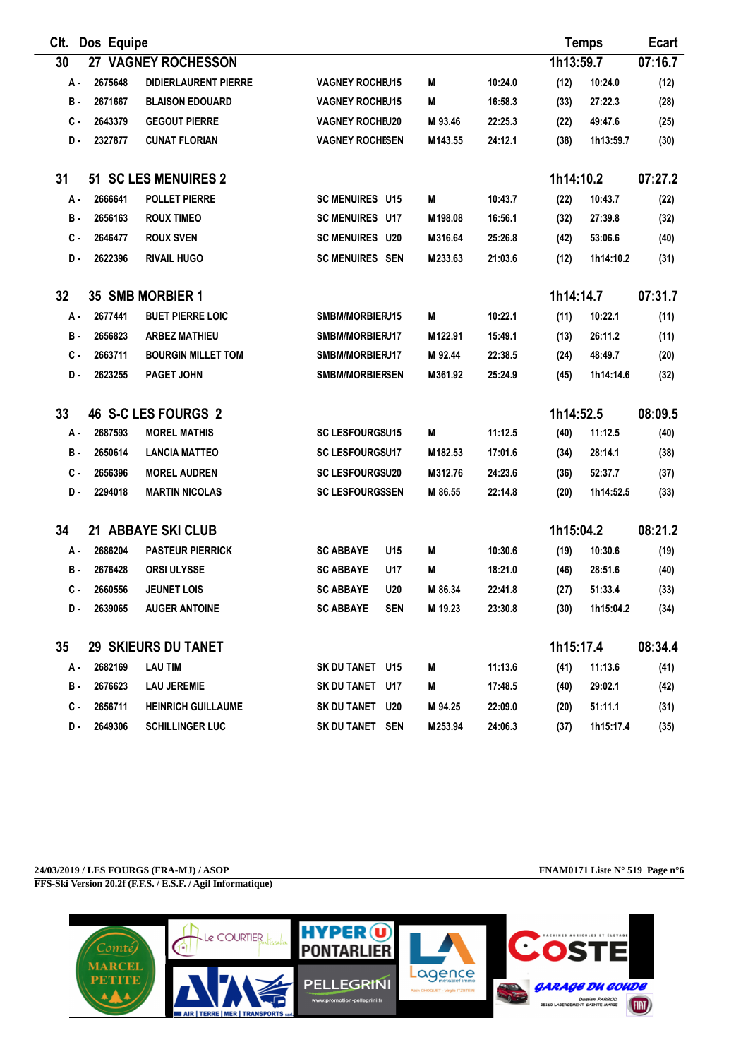| CIt. | Dos Equipe |                             |                        |                       |                    |           | <b>Temps</b> | <b>Ecart</b> |
|------|------------|-----------------------------|------------------------|-----------------------|--------------------|-----------|--------------|--------------|
| 30   |            | 27 VAGNEY ROCHESSON         |                        |                       |                    | 1h13:59.7 |              | 07:16.7      |
| А.   | 2675648    | <b>DIDIERLAURENT PIERRE</b> | <b>VAGNEY ROCHEU15</b> | М                     | 10:24.0            | (12)      | 10:24.0      | (12)         |
| в.   | 2671667    | <b>BLAISON EDOUARD</b>      | <b>VAGNEY ROCHEU15</b> | М                     | 16:58.3            | (33)      | 27:22.3      | (28)         |
| с.   | 2643379    | <b>GEGOUT PIERRE</b>        | <b>VAGNEY ROCHEU20</b> | M 93.46               | 22:25.3            | (22)      | 49:47.6      | (25)         |
| D.   | 2327877    | <b>CUNAT FLORIAN</b>        | <b>VAGNEY ROCHESEN</b> | M143.55               | 24:12.1            | (38)      | 1h13:59.7    | (30)         |
| 31   |            | 51 SC LES MENUIRES 2        |                        |                       |                    | 1h14:10.2 |              | 07:27.2      |
| А.   | 2666641    | <b>POLLET PIERRE</b>        | <b>SC MENUIRES U15</b> | М                     | 10:43.7            | (22)      | 10:43.7      | (22)         |
| в.   | 2656163    | <b>ROUX TIMEO</b>           | <b>SC MENUIRES U17</b> | M198.08               | 16:56.1            | (32)      | 27:39.8      | (32)         |
| C -  | 2646477    | <b>ROUX SVEN</b>            | <b>SC MENUIRES U20</b> | M316.64               | 25:26.8            | (42)      | 53:06.6      | (40)         |
| D.   | 2622396    | <b>RIVAIL HUGO</b>          | <b>SC MENUIRES SEN</b> | M233.63               | 21:03.6            | (12)      | 1h14:10.2    | (31)         |
| 32   |            | 35 SMB MORBIER 1            |                        |                       |                    | 1h14:14.7 |              | 07:31.7      |
| А.   | 2677441    | <b>BUET PIERRE LOIC</b>     | SMBM/MORBIERU15        | М                     | 10:22.1            | (11)      | 10:22.1      | (11)         |
| в.   | 2656823    | <b>ARBEZ MATHIEU</b>        | SMBM/MORBIERU17        | M122.91               | 15:49.1            | (13)      | 26:11.2      | (11)         |
| C -  | 2663711    | <b>BOURGIN MILLET TOM</b>   | SMBM/MORBIERU17        | M 92.44               | 22:38.5            | (24)      | 48:49.7      | (20)         |
| D.   | 2623255    | <b>PAGET JOHN</b>           | <b>SMBM/MORBIERSEN</b> |                       | 25:24.9<br>M361.92 | (45)      | 1h14:14.6    | (32)         |
| 33   |            | 46 S-C LES FOURGS 2         |                        |                       |                    | 1h14:52.5 |              | 08:09.5      |
| А.   | 2687593    | <b>MOREL MATHIS</b>         | <b>SC LESFOURGSU15</b> | М                     | 11:12.5            | (40)      | 11:12.5      | (40)         |
| в.   | 2650614    | <b>LANCIA MATTEO</b>        | <b>SC LESFOURGSU17</b> | M182.53               | 17:01.6            | (34)      | 28:14.1      | (38)         |
| с.   | 2656396    | <b>MOREL AUDREN</b>         | <b>SC LESFOURGSU20</b> | M312.76               | 24:23.6            | (36)      | 52:37.7      | (37)         |
| D-   | 2294018    | <b>MARTIN NICOLAS</b>       | <b>SC LESFOURGSSEN</b> | M 86.55               | 22:14.8            | (20)      | 1h14:52.5    | (33)         |
| 34   |            | 21 ABBAYE SKI CLUB          |                        |                       |                    | 1h15:04.2 |              | 08:21.2      |
| А.   | 2686204    | <b>PASTEUR PIERRICK</b>     | <b>SC ABBAYE</b>       | U15<br>M              | 10:30.6            | (19)      | 10:30.6      | (19)         |
| в.   | 2676428    | <b>ORSI ULYSSE</b>          | <b>SC ABBAYE</b>       | М<br>U17              | 18:21.0            | (46)      | 28:51.6      | (40)         |
| C -  | 2660556    | <b>JEUNET LOIS</b>          | <b>SC ABBAYE</b>       | <b>U20</b><br>M 86.34 | 22:41.8            | (27)      | 51:33.4      | (33)         |
| D.   | 2639065    | <b>AUGER ANTOINE</b>        | <b>SC ABBAYE</b>       | <b>SEN</b><br>M 19.23 | 23:30.8            | (30)      | 1h15:04.2    | (34)         |
| 35   |            | <b>29 SKIEURS DU TANET</b>  |                        |                       |                    | 1h15:17.4 |              | 08:34.4      |
| А.   | 2682169    | <b>LAU TIM</b>              | SK DU TANET U15        | M                     | 11:13.6            | (41)      | 11:13.6      | (41)         |
| в.   | 2676623    | <b>LAU JEREMIE</b>          | SK DU TANET U17        | M                     | 17:48.5            | (40)      | 29:02.1      | (42)         |
| с.   | 2656711    | <b>HEINRICH GUILLAUME</b>   | SK DU TANET U20        | M 94.25               | 22:09.0            | (20)      | 51:11.1      | (31)         |
| D.   | 2649306    | <b>SCHILLINGER LUC</b>      | SK DU TANET SEN        |                       | M253.94<br>24:06.3 | (37)      | 1h15:17.4    | (35)         |

**24/03/2019 / LES FOURGS (FRA-MJ) / ASOP FNAM0171 Liste N° 519 Page n°6 FFS-Ski Version 20.2f (F.F.S. / E.S.F. / Agil Informatique)**

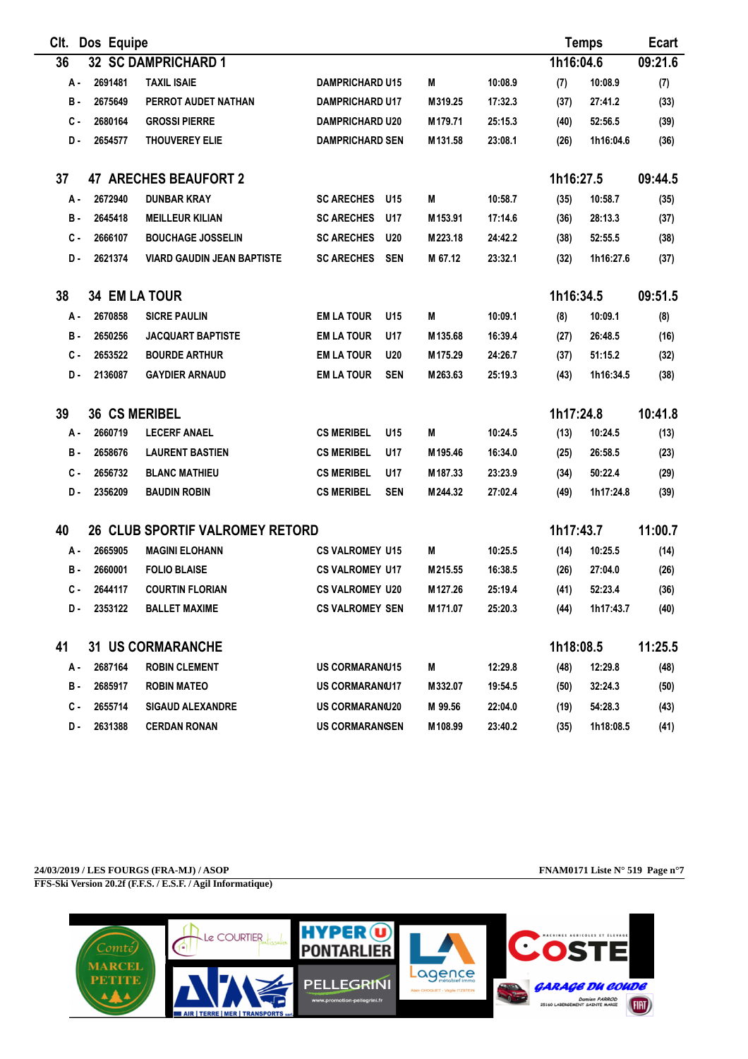| CIt.                                    | Dos Equipe           |                                        |                         |            |         |         |           | <b>Temps</b> | <b>Ecart</b> |
|-----------------------------------------|----------------------|----------------------------------------|-------------------------|------------|---------|---------|-----------|--------------|--------------|
| 36                                      |                      | <b>32 SC DAMPRICHARD 1</b>             |                         |            |         |         | 1h16:04.6 |              | 09:21.6      |
| А.                                      | 2691481              | <b>TAXIL ISAIE</b>                     | <b>DAMPRICHARD U15</b>  |            | М       | 10:08.9 | (7)       | 10:08.9      | (7)          |
| в.                                      | 2675649              | PERROT AUDET NATHAN                    | <b>DAMPRICHARD U17</b>  |            | M319.25 | 17:32.3 | (37)      | 27:41.2      | (33)         |
| с.                                      | 2680164              | <b>GROSSI PIERRE</b>                   | <b>DAMPRICHARD U20</b>  |            | M179.71 | 25:15.3 | (40)      | 52:56.5      | (39)         |
| D.                                      | 2654577              | <b>THOUVEREY ELIE</b>                  | <b>DAMPRICHARD SEN</b>  |            | M131.58 | 23:08.1 | (26)      | 1h16:04.6    | (36)         |
| 37                                      |                      | <b>47 ARECHES BEAUFORT 2</b>           |                         |            |         |         | 1h16:27.5 |              | 09:44.5      |
| А.                                      | 2672940              | <b>DUNBAR KRAY</b>                     | <b>SC ARECHES</b>       | U15        | M       | 10:58.7 | (35)      | 10:58.7      | (35)         |
| в.                                      | 2645418              | <b>MEILLEUR KILIAN</b>                 | <b>SC ARECHES</b>       | U17        | M153.91 | 17:14.6 | (36)      | 28:13.3      | (37)         |
| с.                                      | 2666107              | <b>BOUCHAGE JOSSELIN</b>               | <b>SC ARECHES</b>       | <b>U20</b> | M223.18 | 24:42.2 | (38)      | 52:55.5      | (38)         |
| D.                                      | 2621374              | <b>VIARD GAUDIN JEAN BAPTISTE</b>      | <b>SC ARECHES</b>       | <b>SEN</b> | M 67.12 | 23:32.1 | (32)      | 1h16:27.6    | (37)         |
| 1h16:34.5<br>38<br><b>34 EM LA TOUR</b> |                      |                                        |                         |            |         |         | 09:51.5   |              |              |
| А.                                      | 2670858              | <b>SICRE PAULIN</b>                    | <b>EM LA TOUR</b>       | U15        | М       | 10:09.1 | (8)       | 10:09.1      | (8)          |
| в.                                      | 2650256              | <b>JACQUART BAPTISTE</b>               | <b>EM LA TOUR</b>       | U17        | M135.68 | 16:39.4 | (27)      | 26:48.5      | (16)         |
| с.                                      | 2653522              | <b>BOURDE ARTHUR</b>                   | <b>EM LA TOUR</b>       | <b>U20</b> | M175.29 | 24:26.7 | (37)      | 51:15.2      | (32)         |
| D.                                      | 2136087              | <b>GAYDIER ARNAUD</b>                  | <b>EM LA TOUR</b>       | <b>SEN</b> | M263.63 | 25:19.3 | (43)      | 1h16:34.5    | (38)         |
| 39                                      | <b>36 CS MERIBEL</b> |                                        |                         |            |         |         | 1h17:24.8 |              | 10:41.8      |
| А-                                      | 2660719              | <b>LECERF ANAEL</b>                    | <b>CS MERIBEL</b>       | U15        | M       | 10:24.5 | (13)      | 10:24.5      | (13)         |
| в.                                      | 2658676              | <b>LAURENT BASTIEN</b>                 | <b>CS MERIBEL</b>       | U17        | M195.46 | 16:34.0 | (25)      | 26:58.5      | (23)         |
| $c -$                                   | 2656732              | <b>BLANC MATHIEU</b>                   | <b>CS MERIBEL</b>       | U17        | M187.33 | 23:23.9 | (34)      | 50:22.4      | (29)         |
| D.                                      | 2356209              | <b>BAUDIN ROBIN</b>                    | <b>CS MERIBEL</b>       | <b>SEN</b> | M244.32 | 27:02.4 | (49)      | 1h17:24.8    | (39)         |
| 40                                      |                      | <b>26 CLUB SPORTIF VALROMEY RETORD</b> |                         |            |         |         | 1h17:43.7 |              | 11:00.7      |
| А.                                      | 2665905              | <b>MAGINI ELOHANN</b>                  | <b>CS VALROMEY U15</b>  |            | M       | 10:25.5 | (14)      | 10:25.5      | (14)         |
| в.                                      | 2660001              | <b>FOLIO BLAISE</b>                    | <b>CS VALROMEY U17</b>  |            | M215.55 | 16:38.5 | (26)      | 27:04.0      | (26)         |
| C -                                     | 2644117              | <b>COURTIN FLORIAN</b>                 | <b>CS VALROMEY U20</b>  |            | M127.26 | 25:19.4 | (41)      | 52:23.4      | (36)         |
| D.                                      | 2353122              | <b>BALLET MAXIME</b>                   | <b>CS VALROMEY SEN</b>  |            | M171.07 | 25:20.3 | (44)      | 1h17:43.7    | (40)         |
| 41                                      |                      | <b>31 US CORMARANCHE</b>               |                         |            |         |         | 1h18:08.5 |              | 11:25.5      |
| А.                                      | 2687164              | <b>ROBIN CLEMENT</b>                   | <b>US CORMARAN(U15)</b> |            | M       | 12:29.8 | (48)      | 12:29.8      | (48)         |
| в.                                      | 2685917              | <b>ROBIN MATEO</b>                     | <b>US CORMARAN(U17</b>  |            | M332.07 | 19:54.5 | (50)      | 32:24.3      | (50)         |
| с.                                      | 2655714              | <b>SIGAUD ALEXANDRE</b>                | US CORMARAN(U20         |            | M 99.56 | 22:04.0 | (19)      | 54:28.3      | (43)         |
| D-                                      | 2631388              | <b>CERDAN RONAN</b>                    | <b>US CORMARANGEN</b>   |            | M108.99 | 23:40.2 | (35)      | 1h18:08.5    | (41)         |

**24/03/2019 / LES FOURGS (FRA-MJ) / ASOP FNAM0171 Liste N° 519 Page n°7 FFS-Ski Version 20.2f (F.F.S. / E.S.F. / Agil Informatique)**

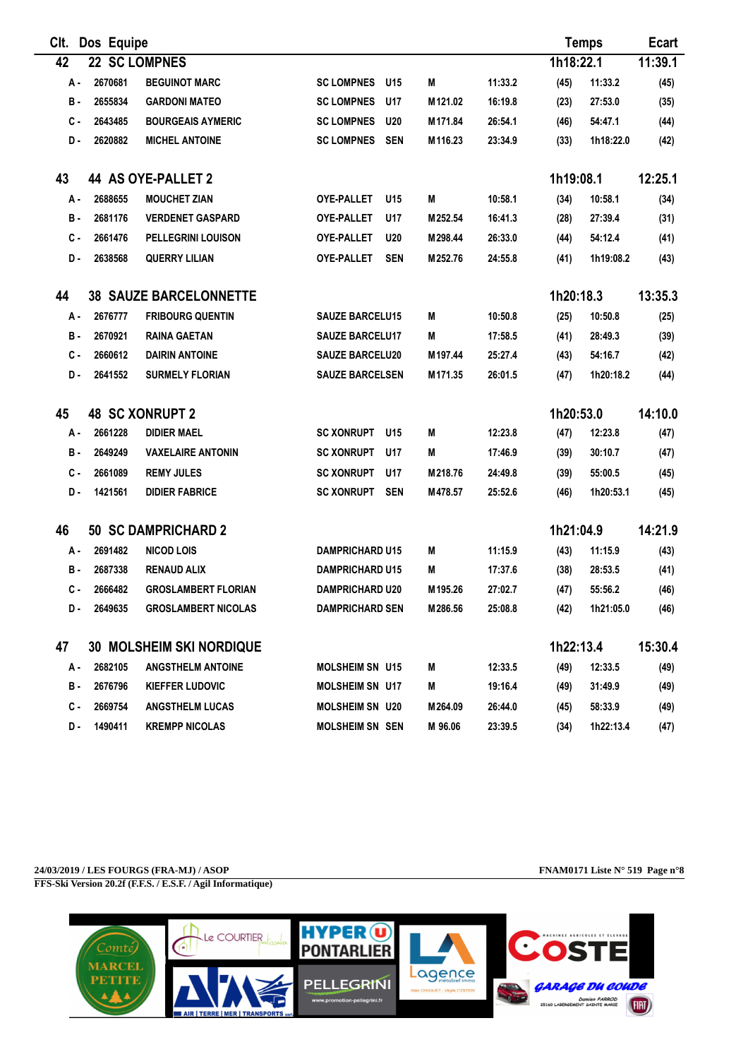| CIt. | Dos Equipe |                                 |                                 |         |         |           | <b>Temps</b> | <b>Ecart</b> |
|------|------------|---------------------------------|---------------------------------|---------|---------|-----------|--------------|--------------|
| 42   |            | 22 SC LOMPNES                   |                                 |         |         | 1h18:22.1 |              | 11:39.1      |
| А.   | 2670681    | <b>BEGUINOT MARC</b>            | <b>SC LOMPNES</b><br>U15        | M       | 11:33.2 | (45)      | 11:33.2      | (45)         |
| в.   | 2655834    | <b>GARDONI MATEO</b>            | <b>SC LOMPNES</b><br>U17        | M121.02 | 16:19.8 | (23)      | 27:53.0      | (35)         |
| с.   | 2643485    | <b>BOURGEAIS AYMERIC</b>        | <b>SC LOMPNES</b><br><b>U20</b> | M171.84 | 26:54.1 | (46)      | 54:47.1      | (44)         |
| D-   | 2620882    | <b>MICHEL ANTOINE</b>           | <b>SC LOMPNES</b><br><b>SEN</b> | M116.23 | 23:34.9 | (33)      | 1h18:22.0    | (42)         |
| 43   |            | <b>44 AS OYE-PALLET 2</b>       |                                 |         |         | 1h19:08.1 |              | 12:25.1      |
| А.   | 2688655    | <b>MOUCHET ZIAN</b>             | <b>OYE-PALLET</b><br>U15        | M       | 10:58.1 | (34)      | 10:58.1      | (34)         |
| в.   | 2681176    | <b>VERDENET GASPARD</b>         | <b>OYE-PALLET</b><br>U17        | M252.54 | 16:41.3 | (28)      | 27:39.4      | (31)         |
| с.   | 2661476    | <b>PELLEGRINI LOUISON</b>       | <b>OYE-PALLET</b><br><b>U20</b> | M298.44 | 26:33.0 | (44)      | 54:12.4      | (41)         |
| D.   | 2638568    | <b>QUERRY LILIAN</b>            | <b>OYE-PALLET</b><br><b>SEN</b> | M252.76 | 24:55.8 | (41)      | 1h19:08.2    | (43)         |
| 44   |            | <b>38 SAUZE BARCELONNETTE</b>   |                                 |         |         | 1h20:18.3 |              | 13:35.3      |
| А.   | 2676777    | <b>FRIBOURG QUENTIN</b>         | <b>SAUZE BARCELU15</b>          | М       | 10:50.8 | (25)      | 10:50.8      | (25)         |
| в.   | 2670921    | <b>RAINA GAETAN</b>             | <b>SAUZE BARCELU17</b>          | М       | 17:58.5 | (41)      | 28:49.3      | (39)         |
| с.   | 2660612    | <b>DAIRIN ANTOINE</b>           | <b>SAUZE BARCELU20</b>          | M197.44 | 25:27.4 | (43)      | 54:16.7      | (42)         |
| D.   | 2641552    | <b>SURMELY FLORIAN</b>          | <b>SAUZE BARCELSEN</b>          | M171.35 | 26:01.5 | (47)      | 1h20:18.2    | (44)         |
| 45   |            | <b>48 SC XONRUPT 2</b>          |                                 |         |         | 1h20:53.0 |              | 14:10.0      |
| А-   | 2661228    | <b>DIDIER MAEL</b>              | <b>SC XONRUPT</b><br>U15        | М       | 12:23.8 | (47)      | 12:23.8      | (47)         |
| в.   | 2649249    | <b>VAXELAIRE ANTONIN</b>        | <b>SC XONRUPT</b><br>U17        | М       | 17:46.9 | (39)      | 30:10.7      | (47)         |
| с.   | 2661089    | <b>REMY JULES</b>               | <b>SC XONRUPT</b><br>U17        | M218.76 | 24:49.8 | (39)      | 55:00.5      | (45)         |
| D.   | 1421561    | <b>DIDIER FABRICE</b>           | <b>SC XONRUPT</b><br><b>SEN</b> | M478.57 | 25:52.6 | (46)      | 1h20:53.1    | (45)         |
| 46   |            | <b>50 SC DAMPRICHARD 2</b>      |                                 |         |         | 1h21:04.9 |              | 14:21.9      |
| А.   | 2691482    | <b>NICOD LOIS</b>               | <b>DAMPRICHARD U15</b>          | M       | 11:15.9 | (43)      | 11:15.9      | (43)         |
| в.   | 2687338    | <b>RENAUD ALIX</b>              | <b>DAMPRICHARD U15</b>          | М       | 17:37.6 | (38)      | 28:53.5      | (41)         |
| с.   | 2666482    | <b>GROSLAMBERT FLORIAN</b>      | <b>DAMPRICHARD U20</b>          | M195.26 | 27:02.7 | (47)      | 55:56.2      | (46)         |
| D.   | 2649635    | <b>GROSLAMBERT NICOLAS</b>      | <b>DAMPRICHARD SEN</b>          | M286.56 | 25:08.8 | (42)      | 1h21:05.0    | (46)         |
| 47   |            | <b>30 MOLSHEIM SKI NORDIQUE</b> |                                 |         |         | 1h22:13.4 |              | 15:30.4      |
| А.   | 2682105    | <b>ANGSTHELM ANTOINE</b>        | <b>MOLSHEIM SN U15</b>          | M       | 12:33.5 | (49)      | 12:33.5      | (49)         |
| в.   | 2676796    | <b>KIEFFER LUDOVIC</b>          | MOLSHEIM SN U17                 | Μ       | 19:16.4 | (49)      | 31:49.9      | (49)         |
| с.   | 2669754    | <b>ANGSTHELM LUCAS</b>          | <b>MOLSHEIM SN U20</b>          | M264.09 | 26:44.0 | (45)      | 58:33.9      | (49)         |
| D-   | 1490411    | <b>KREMPP NICOLAS</b>           | <b>MOLSHEIM SN SEN</b>          | M 96.06 | 23:39.5 | (34)      | 1h22:13.4    | (47)         |

**24/03/2019 / LES FOURGS (FRA-MJ) / ASOP FNAM0171 Liste N° 519 Page n°8 FFS-Ski Version 20.2f (F.F.S. / E.S.F. / Agil Informatique)**